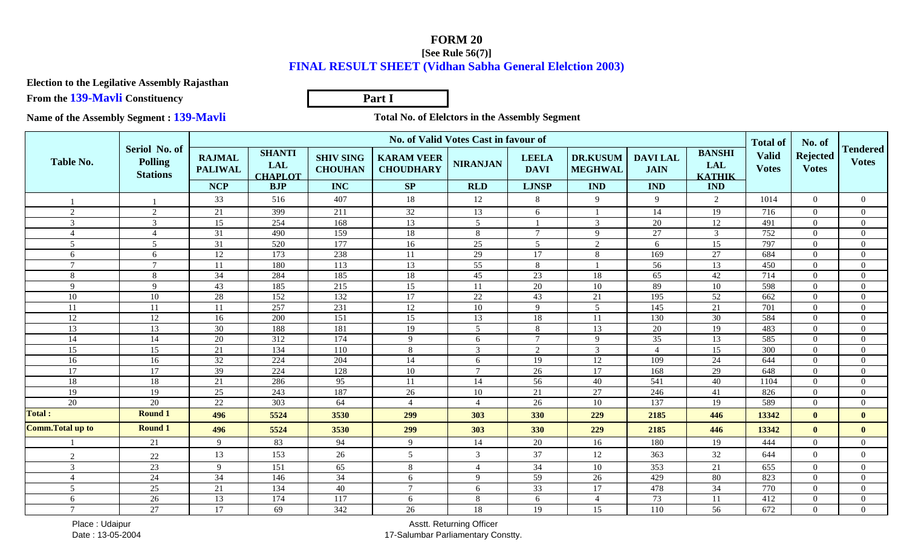## **FORM 20 [See Rule 56(7)]FINAL RESULT SHEET (Vidhan Sabha General Elelction 2003)**

**Election to the Legilative Assembly Rajasthan**

**From the 139-Mavli Constituency**

**Part I**

**Name of the Assembly Segment : 139-Mavli**

**Total No. of Elelctors in the Assembly Segment** 

|                          |                                                    | No. of Valid Votes Cast in favour of |                                               |                                    |                                       |                 |                             |                                   |                               |                                              |                                                 |                                           |                                 |
|--------------------------|----------------------------------------------------|--------------------------------------|-----------------------------------------------|------------------------------------|---------------------------------------|-----------------|-----------------------------|-----------------------------------|-------------------------------|----------------------------------------------|-------------------------------------------------|-------------------------------------------|---------------------------------|
| <b>Table No.</b>         | Seriol No. of<br><b>Polling</b><br><b>Stations</b> | <b>RAJMAL</b><br><b>PALIWAL</b>      | <b>SHANTI</b><br><b>LAL</b><br><b>CHAPLOT</b> | <b>SHIV SING</b><br><b>CHOUHAN</b> | <b>KARAM VEER</b><br><b>CHOUDHARY</b> | <b>NIRANJAN</b> | <b>LEELA</b><br><b>DAVI</b> | <b>DR.KUSUM</b><br><b>MEGHWAL</b> | <b>DAVILAL</b><br><b>JAIN</b> | <b>BANSHI</b><br><b>LAL</b><br><b>KATHIK</b> | <b>Total of</b><br><b>Valid</b><br><b>Votes</b> | No. of<br><b>Rejected</b><br><b>Votes</b> | <b>Tendered</b><br><b>Votes</b> |
|                          |                                                    | <b>NCP</b>                           | <b>BJP</b>                                    | <b>INC</b>                         | SP                                    | <b>RLD</b>      | <b>LJNSP</b>                | <b>IND</b>                        | <b>IND</b>                    | <b>IND</b>                                   |                                                 |                                           |                                 |
|                          |                                                    | 33                                   | 516                                           | 407                                | 18                                    | 12              | 8                           | 9                                 | 9                             | $\overline{2}$                               | 1014                                            | $\Omega$                                  | $\Omega$                        |
| 2                        | $\overline{2}$                                     | 21                                   | 399                                           | 211                                | 32                                    | 13              | 6                           |                                   | 14                            | 19                                           | 716                                             | $\theta$                                  | $\Omega$                        |
| $\overline{3}$           | 3                                                  | $\overline{15}$                      | 254                                           | 168                                | $\overline{13}$                       | $\overline{5}$  |                             | $\overline{3}$                    | 20                            | 12                                           | 491                                             | $\theta$                                  | $\Omega$                        |
| $\overline{4}$           | 4                                                  | 31                                   | 490                                           | 159                                | $18\,$                                | 8               | $\overline{7}$              | 9                                 | 27                            | 3 <sup>7</sup>                               | 752                                             | $\Omega$                                  | $\Omega$                        |
| $\overline{5}$           | $5\overline{)}$                                    | $\overline{31}$                      | $\overline{520}$                              | 177                                | 16                                    | 25              | $5\overline{)}$             | 2                                 | 6                             | 15                                           | 797                                             | $\Omega$                                  | $\Omega$                        |
| 6                        | 6                                                  | $\overline{12}$                      | 173                                           | 238                                | 11                                    | 29              | 17                          | 8                                 | 169                           | 27                                           | 684                                             | $\theta$                                  | $\Omega$                        |
| $\overline{7}$           | $\tau$                                             | <b>11</b>                            | 180                                           | 113                                | 13                                    | 55              | 8                           |                                   | 56                            | 13                                           | 450                                             | $\Omega$                                  | $\Omega$                        |
| 8                        | 8                                                  | 34                                   | 284                                           | 185                                | 18                                    | 45              | 23                          | 18                                | 65                            | 42                                           | 714                                             | $\Omega$                                  | $\Omega$                        |
| $\overline{9}$           | 9                                                  | 43                                   | 185                                           | 215                                | $\overline{15}$                       | 11              | $\overline{20}$             | $10\,$                            | 89                            | 10                                           | 598                                             | $\Omega$                                  | $\Omega$                        |
| $10\,$                   | 10                                                 | 28                                   | 152                                           | 132                                | 17                                    | $22\,$          | $43\,$                      | 21                                | 195                           | 52                                           | 662                                             | $\Omega$                                  | $\Omega$                        |
| 11                       | 11                                                 | 11                                   | 257                                           | 231                                | 12                                    | $10\,$          | 9                           | 5                                 | 145                           | 21                                           | 701                                             | $\Omega$                                  | $\Omega$                        |
| 12                       | 12                                                 | 16                                   | 200                                           | 151                                | 15                                    | 13              | 18                          | 11                                | 130                           | 30                                           | 584                                             | $\Omega$                                  | $\Omega$                        |
| 13                       | 13                                                 | $\overline{30}$                      | 188                                           | 181                                | 19                                    | $\overline{5}$  | $8\,$                       | 13                                | $\overline{20}$               | 19                                           | 483                                             | $\Omega$                                  | $\Omega$                        |
| 14                       | 14                                                 | $\overline{20}$                      | 312                                           | 174                                | 9                                     | 6               | $\tau$                      | 9                                 | $\overline{35}$               | 13                                           | 585                                             | $\Omega$                                  | $\Omega$                        |
| 15                       | $\overline{15}$                                    | 21                                   | 134                                           | 110                                | 8                                     | 3               | 2                           | $\overline{3}$                    | $\Delta$                      | $\overline{15}$                              | $\overline{300}$                                | $\theta$                                  | $\Omega$                        |
| 16                       | 16                                                 | 32                                   | 224                                           | 204                                | 14                                    | 6               | 19                          | $12\,$                            | 109                           | $24\,$                                       | 644                                             | $\theta$                                  | $\Omega$                        |
| $\overline{17}$          | 17                                                 | 39                                   | 224                                           | 128                                | $10\,$                                | $\mathcal{I}$   | 26                          | 17                                | 168                           | 29                                           | 648                                             | $\Omega$                                  | $\Omega$                        |
| $\overline{18}$          | 18                                                 | 21                                   | 286                                           | 95                                 | 11                                    | $\overline{14}$ | 56                          | 40                                | 541                           | 40                                           | 1104                                            | $\Omega$                                  | $\Omega$                        |
| 19                       | 19                                                 | 25                                   | 243                                           | 187                                | $26\,$                                | 10              | 21                          | $\overline{27}$                   | 246                           | 41                                           | 826                                             | $\theta$                                  | $\Omega$                        |
| $\overline{20}$          | 20                                                 | 22                                   | $\overline{303}$                              | 64                                 | $\overline{4}$                        | $\overline{4}$  | 26                          | 10                                | 137                           | 19                                           | 589                                             | $\Omega$                                  | $\Omega$                        |
| <b>Total:</b>            | <b>Round 1</b>                                     | 496                                  | 5524                                          | 3530                               | 299                                   | 303             | 330                         | 229                               | 2185                          | 446                                          | 13342                                           | $\mathbf{0}$                              | $\mathbf{0}$                    |
| <b>Comm. Total up to</b> | <b>Round 1</b>                                     | 496                                  | 5524                                          | 3530                               | 299                                   | 303             | 330                         | 229                               | 2185                          | 446                                          | 13342                                           | $\mathbf{0}$                              | $\mathbf{0}$                    |
|                          | $\overline{21}$                                    | $\mathbf{Q}$                         | 83                                            | 94                                 | 9                                     | 14              | $\overline{20}$             | 16                                | 180                           | 19                                           | 444                                             | $\theta$                                  | $\Omega$                        |
| 2                        | 22                                                 | 13                                   | 153                                           | 26                                 | 5                                     | 3               | 37                          | 12                                | 363                           | 32                                           | 644                                             | $\Omega$                                  | $\Omega$                        |
| 3                        | 23                                                 | $\mathbf{Q}$                         | 151                                           | 65                                 | 8                                     | $\overline{4}$  | 34                          | 10                                | $\overline{353}$              | 21                                           | 655                                             | $\Omega$                                  | $\Omega$                        |
| $\overline{4}$           | $\overline{24}$                                    | $\overline{34}$                      | 146                                           | 34                                 | 6                                     | $\mathbf{Q}$    | 59                          | 26                                | 429                           | 80                                           | 823                                             | $\Omega$                                  | $\Omega$                        |
| $5\overline{)}$          | $\overline{25}$                                    | 21                                   | 134                                           | 40                                 | $\overline{7}$                        | 6               | $\overline{33}$             | 17                                | 478                           | $\overline{34}$                              | 770                                             | $\theta$                                  | $\Omega$                        |
| 6                        | $\overline{26}$                                    | 13                                   | 174                                           | 117                                | 6                                     | 8               | 6                           | $\overline{A}$                    | 73                            | 11                                           | 412                                             | $\Omega$                                  | $\Omega$                        |
| $\tau$                   | $\overline{27}$                                    | 17                                   | 69                                            | $\frac{1}{342}$                    | 26                                    | 18              | 19                          | 15                                | 110                           | 56                                           | 672                                             | $\Omega$                                  | $\Omega$                        |

 Place : UdaipurDate : 13-05-2004

Asstt. Returning Officer17-Salumbar Parliamentary Constty.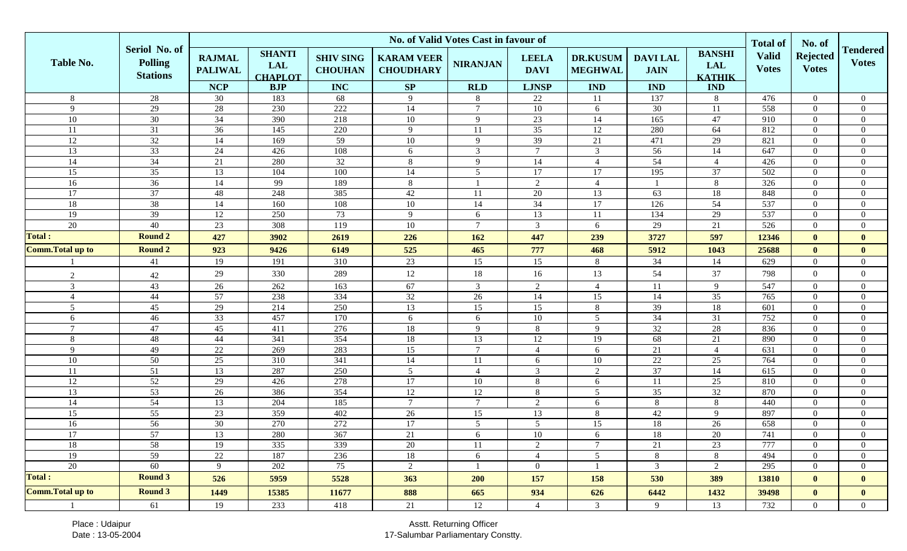|                          |                                                    | No. of Valid Votes Cast in favour of          |                                                             |                                                  |                                             |                               |                                             |                                                 |                                             |                                                            |                                                 |                                           |                                 |
|--------------------------|----------------------------------------------------|-----------------------------------------------|-------------------------------------------------------------|--------------------------------------------------|---------------------------------------------|-------------------------------|---------------------------------------------|-------------------------------------------------|---------------------------------------------|------------------------------------------------------------|-------------------------------------------------|-------------------------------------------|---------------------------------|
| <b>Table No.</b>         | Seriol No. of<br><b>Polling</b><br><b>Stations</b> | <b>RAJMAL</b><br><b>PALIWAL</b><br><b>NCP</b> | <b>SHANTI</b><br><b>LAL</b><br><b>CHAPLOT</b><br><b>BJP</b> | <b>SHIV SING</b><br><b>CHOUHAN</b><br><b>INC</b> | <b>KARAM VEER</b><br><b>CHOUDHARY</b><br>SP | <b>NIRANJAN</b><br><b>RLD</b> | <b>LEELA</b><br><b>DAVI</b><br><b>LJNSP</b> | <b>DR.KUSUM</b><br><b>MEGHWAL</b><br><b>IND</b> | <b>DAVILAL</b><br><b>JAIN</b><br><b>IND</b> | <b>BANSHI</b><br><b>LAL</b><br><b>KATHIK</b><br><b>IND</b> | <b>Total of</b><br><b>Valid</b><br><b>Votes</b> | No. of<br><b>Rejected</b><br><b>Votes</b> | <b>Tendered</b><br><b>Votes</b> |
| 8                        | 28                                                 | 30                                            | 183                                                         | 68                                               | 9                                           | 8                             | 22                                          | 11                                              | 137                                         | 8                                                          | 476                                             | $\overline{0}$                            | $\boldsymbol{0}$                |
| 9                        | 29                                                 | 28                                            | 230                                                         | 222                                              | 14                                          | $\tau$                        | $10\,$                                      | 6                                               | 30                                          | 11                                                         | 558                                             | $\mathbf{0}$                              | $\boldsymbol{0}$                |
| 10                       | 30                                                 | 34                                            | 390                                                         | 218                                              | 10                                          | 9                             | $23\,$                                      | 14                                              | 165                                         | 47                                                         | 910                                             | $\boldsymbol{0}$                          | $\boldsymbol{0}$                |
| $11\,$                   | 31                                                 | 36                                            | 145                                                         | 220                                              | 9                                           | 11                            | $\overline{35}$                             | $\overline{12}$                                 | 280                                         | 64                                                         | 812                                             | $\boldsymbol{0}$                          | $\boldsymbol{0}$                |
| $\overline{12}$          | 32                                                 | 14                                            | 169                                                         | 59                                               | $10\,$                                      | 9                             | 39                                          | 21                                              | 471                                         | 29                                                         | 821                                             | $\boldsymbol{0}$                          | $\boldsymbol{0}$                |
| 13                       | 33                                                 | 24                                            | 426                                                         | 108                                              | 6                                           | $\mathfrak{Z}$                | $7\phantom{.0}$                             | 3                                               | 56                                          | 14                                                         | 647                                             | $\overline{0}$                            | $\boldsymbol{0}$                |
| 14                       | 34                                                 | 21                                            | 280                                                         | $\overline{32}$                                  | 8                                           | 9                             | 14                                          | $\overline{4}$                                  | 54                                          | $\overline{4}$                                             | 426                                             | $\boldsymbol{0}$                          | $\boldsymbol{0}$                |
| 15                       | 35                                                 | 13                                            | 104                                                         | 100                                              | 14                                          | 5 <sup>5</sup>                | 17                                          | 17                                              | 195                                         | 37                                                         | 502                                             | $\overline{0}$                            | $\boldsymbol{0}$                |
| 16                       | 36                                                 | 14                                            | 99                                                          | 189                                              | 8                                           |                               | 2                                           | $\overline{4}$                                  |                                             | 8                                                          | 326                                             | $\overline{0}$                            | $\boldsymbol{0}$                |
| $\overline{17}$          | 37                                                 | 48                                            | 248                                                         | 385                                              | 42                                          | 11                            | $\overline{20}$                             | 13                                              | 63                                          | 18                                                         | 848                                             | $\overline{0}$                            | $\boldsymbol{0}$                |
| 18                       | 38                                                 | 14                                            | 160                                                         | 108                                              | $10\,$                                      | 14                            | $\overline{34}$                             | 17                                              | 126                                         | 54                                                         | 537                                             | $\overline{0}$                            | $\boldsymbol{0}$                |
| 19                       | 39                                                 | 12                                            | 250                                                         | 73                                               | 9                                           | 6                             | 13                                          | 11                                              | 134                                         | 29                                                         | 537                                             | $\overline{0}$                            | $\boldsymbol{0}$                |
| $\overline{20}$          | 40                                                 | 23                                            | 308                                                         | 119                                              | $10\,$                                      | $\tau$                        | $\overline{3}$                              | 6                                               | 29                                          | $\overline{21}$                                            | 526                                             | $\overline{0}$                            | $\boldsymbol{0}$                |
| <b>Total:</b>            | <b>Round 2</b>                                     | 427                                           | 3902                                                        | 2619                                             | 226                                         | 162                           | 447                                         | 239                                             | 3727                                        | 597                                                        | 12346                                           | $\mathbf{0}$                              | $\mathbf{0}$                    |
| <b>Comm. Total up to</b> | <b>Round 2</b>                                     | 923                                           | 9426                                                        | 6149                                             | 525                                         | 465                           | 777                                         | 468                                             | 5912                                        | 1043                                                       | 25688                                           | $\mathbf{0}$                              | $\bf{0}$                        |
|                          | 41                                                 | 19                                            | 191                                                         | 310                                              | 23                                          | 15                            | 15                                          | $8\,$                                           | 34                                          | 14                                                         | 629                                             | $\overline{0}$                            | $\boldsymbol{0}$                |
| 2                        | 42                                                 | 29                                            | 330                                                         | 289                                              | 12                                          | $18\,$                        | 16                                          | 13                                              | 54                                          | 37                                                         | 798                                             | $\boldsymbol{0}$                          | $\boldsymbol{0}$                |
| 3                        | 43                                                 | 26                                            | 262                                                         | 163                                              | 67                                          | $\mathbf{3}$                  | 2                                           | $\overline{4}$                                  | 11                                          | 9                                                          | 547                                             | $\overline{0}$                            | $\boldsymbol{0}$                |
| $\overline{4}$           | 44                                                 | 57                                            | 238                                                         | 334                                              | $\overline{32}$                             | $\overline{26}$               | 14                                          | 15                                              | 14                                          | 35                                                         | 765                                             | $\boldsymbol{0}$                          | $\boldsymbol{0}$                |
| 5 <sup>5</sup>           | 45                                                 | 29                                            | 214                                                         | 250                                              | 13                                          | 15                            | 15                                          | $8\,$                                           | 39                                          | $18\,$                                                     | 601                                             | $\overline{0}$                            | $\boldsymbol{0}$                |
| 6                        | 46                                                 | $\overline{33}$                               | 457                                                         | 170                                              | 6                                           | 6                             | 10                                          | 5                                               | 34                                          | $31\,$                                                     | 752                                             | $\overline{0}$                            | $\boldsymbol{0}$                |
| $7\overline{ }$          | 47                                                 | 45                                            | 411                                                         | 276                                              | $18\,$                                      | 9                             | 8                                           | 9                                               | 32                                          | 28                                                         | 836                                             | $\overline{0}$                            | $\boldsymbol{0}$                |
| 8                        | 48                                                 | 44                                            | 341                                                         | 354                                              | $18\,$                                      | 13                            | $12\,$                                      | <sup>19</sup>                                   | 68                                          | 21                                                         | 890                                             | $\overline{0}$                            | $\boldsymbol{0}$                |
| 9                        | 49                                                 | 22                                            | 269                                                         | 283                                              | 15                                          | $\tau$                        | $\overline{4}$                              | 6                                               | 21                                          | $\overline{4}$                                             | 631                                             | $\overline{0}$                            | $\boldsymbol{0}$                |
| 10                       | 50                                                 | $\overline{25}$                               | 310                                                         | $\overline{341}$                                 | 14                                          | 11                            | 6                                           | 10                                              | 22                                          | 25                                                         | 764                                             | $\overline{0}$                            | $\boldsymbol{0}$                |
| 11                       | 51                                                 | 13                                            | 287                                                         | 250                                              | $\overline{5}$                              | $\overline{4}$                | $\mathbf{3}$                                | $\overline{2}$                                  | $\overline{37}$                             | 14                                                         | 615                                             | $\overline{0}$                            | $\boldsymbol{0}$                |
| 12                       | 52                                                 | 29                                            | 426                                                         | 278                                              | 17                                          | 10                            | $8\phantom{.0}$                             | $\sqrt{6}$                                      | 11                                          | 25                                                         | 810                                             | $\boldsymbol{0}$                          | $\boldsymbol{0}$                |
| 13                       | 53                                                 | 26                                            | 386                                                         | 354                                              | 12                                          | 12                            | 8                                           | 5                                               | 35                                          | $32\,$                                                     | 870                                             | $\boldsymbol{0}$                          | $\boldsymbol{0}$                |
| $\overline{14}$          | 54                                                 | $\overline{13}$                               | 204                                                         | 185                                              | $\overline{7}$                              | $7\overline{ }$               | 2                                           | 6                                               | 8                                           | $\overline{8}$                                             | 440                                             | $\mathbf{0}$                              | $\boldsymbol{0}$                |
| 15                       | 55                                                 | 23                                            | 359                                                         | 402                                              | $26\,$                                      | 15                            | 13                                          | $\,8\,$                                         | 42                                          | 9                                                          | 897                                             | $\overline{0}$                            | $\boldsymbol{0}$                |
| 16                       | 56                                                 | 30                                            | 270                                                         | 272                                              | $\overline{17}$                             | $5\overline{)}$               | $\overline{5}$                              | 15                                              | 18                                          | 26                                                         | 658                                             | $\overline{0}$                            | $\boldsymbol{0}$                |
| 17                       | 57                                                 | 13                                            | 280                                                         | 367                                              | $21\,$                                      | 6                             | $10\,$                                      | 6                                               | $18\,$                                      | 20                                                         | 741                                             | $\overline{0}$                            | $\mathbf{0}$                    |
| 18                       | 58                                                 | 19                                            | 335                                                         | 339                                              | 20                                          | 11                            | 2                                           | $\tau$                                          | 21                                          | 23                                                         | 777                                             | $\Omega$                                  | $\boldsymbol{0}$                |
| 19                       | 59                                                 | 22                                            | 187                                                         | 236                                              | 18                                          | 6                             | $\overline{4}$                              | $\overline{5}$                                  | 8                                           | 8                                                          | 494                                             | $\overline{0}$                            | $\boldsymbol{0}$                |
| 20                       | 60                                                 | 9                                             | 202                                                         | 75                                               | 2                                           | $\mathbf{1}$                  | $\overline{0}$                              | $\overline{1}$                                  | $\mathfrak{Z}$                              | $\overline{2}$                                             | 295                                             | $\overline{0}$                            | $\boldsymbol{0}$                |
| Total :                  | <b>Round 3</b>                                     | 526                                           | 5959                                                        | 5528                                             | 363                                         | 200                           | 157                                         | 158                                             | 530                                         | 389                                                        | 13810                                           | $\mathbf{0}$                              | $\mathbf{0}$                    |
| <b>Comm. Total up to</b> | <b>Round 3</b>                                     | 1449                                          | 15385                                                       | 11677                                            | 888                                         | 665                           | 934                                         | 626                                             | 6442                                        | 1432                                                       | 39498                                           | $\mathbf{0}$                              | $\mathbf{0}$                    |
|                          | 61                                                 | 19                                            | 233                                                         | 418                                              | 21                                          | 12                            | $\overline{4}$                              | 3                                               | 9                                           | 13                                                         | 732                                             | $\overline{0}$                            | $\boldsymbol{0}$                |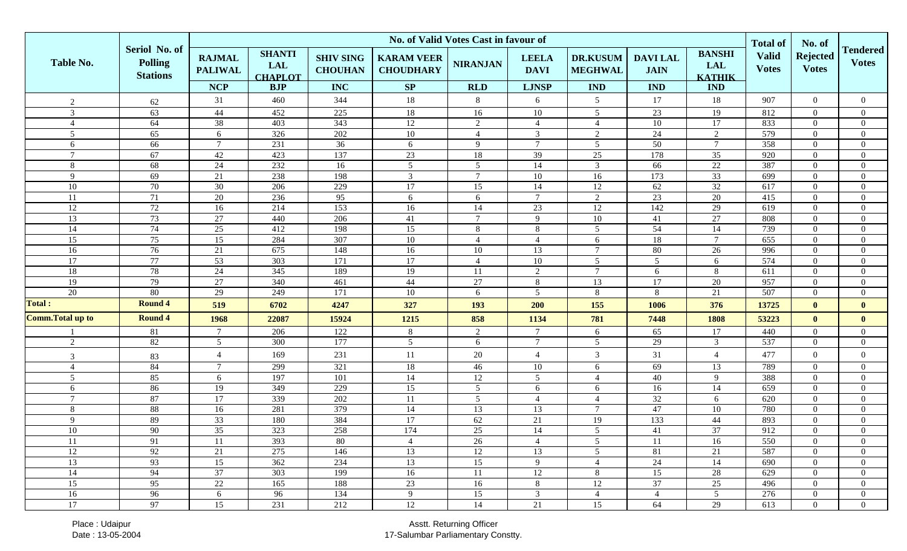|                                   |                                                    | No. of Valid Votes Cast in favour of          |                                                             |                                                  |                                             |                               |                                             |                                                 |                                             |                                                            |                                                 |                                  |                                  |
|-----------------------------------|----------------------------------------------------|-----------------------------------------------|-------------------------------------------------------------|--------------------------------------------------|---------------------------------------------|-------------------------------|---------------------------------------------|-------------------------------------------------|---------------------------------------------|------------------------------------------------------------|-------------------------------------------------|----------------------------------|----------------------------------|
| Table No.                         | Seriol No. of<br><b>Polling</b><br><b>Stations</b> | <b>RAJMAL</b><br><b>PALIWAL</b><br><b>NCP</b> | <b>SHANTI</b><br><b>LAL</b><br><b>CHAPLOT</b><br><b>BJP</b> | <b>SHIV SING</b><br><b>CHOUHAN</b><br><b>INC</b> | <b>KARAM VEER</b><br><b>CHOUDHARY</b><br>SP | <b>NIRANJAN</b><br><b>RLD</b> | <b>LEELA</b><br><b>DAVI</b><br><b>LJNSP</b> | <b>DR.KUSUM</b><br><b>MEGHWAL</b><br><b>IND</b> | <b>DAVILAL</b><br><b>JAIN</b><br><b>IND</b> | <b>BANSHI</b><br><b>LAL</b><br><b>KATHIK</b><br><b>IND</b> | <b>Total of</b><br><b>Valid</b><br><b>Votes</b> | <b>Rejected</b><br><b>Votes</b>  | <b>Tendered</b><br><b>Votes</b>  |
|                                   |                                                    | 31                                            | 460                                                         | 344                                              | 18                                          | 8                             | 6                                           | 5                                               | 17                                          |                                                            | 907                                             | $\overline{0}$                   | $\overline{0}$                   |
| 2                                 | 62                                                 |                                               |                                                             |                                                  |                                             |                               |                                             |                                                 |                                             | 18                                                         |                                                 |                                  |                                  |
| 3                                 | 63<br>64                                           | 44<br>38                                      | 452<br>403                                                  | 225<br>$\overline{343}$                          | 18                                          | 16                            | 10                                          | $\overline{5}$                                  | 23                                          | 19<br>$\overline{17}$                                      | 812<br>833                                      | $\overline{0}$                   | $\overline{0}$                   |
| $\overline{4}$<br>$5\overline{)}$ | 65                                                 | 6                                             | 326                                                         | 202                                              | 12<br>10                                    | 2<br>$\overline{4}$           | $\overline{4}$<br>$\overline{3}$            | $\overline{4}$<br>$\sqrt{2}$                    | 10<br>24                                    | 2                                                          | 579                                             | $\overline{0}$<br>$\overline{0}$ | $\overline{0}$<br>$\overline{0}$ |
| 6                                 | 66                                                 | $\tau$                                        | 231                                                         | 36                                               | 6                                           | 9                             | $\overline{7}$                              | $\overline{5}$                                  | 50                                          | $\tau$                                                     | 358                                             | $\overline{0}$                   | $\overline{0}$                   |
| $7\overline{ }$                   | 67                                                 | 42                                            | 423                                                         | 137                                              | $23\,$                                      | 18                            | 39                                          | $25\,$                                          | 178                                         | 35                                                         | 920                                             | $\overline{0}$                   | $\overline{0}$                   |
| 8                                 | 68                                                 | 24                                            | 232                                                         | 16                                               | $\overline{5}$                              | $5\overline{)}$               | 14                                          | $\overline{3}$                                  | 66                                          | $\overline{22}$                                            | 387                                             | $\overline{0}$                   | $\overline{0}$                   |
| 9                                 | 69                                                 | 21                                            | 238                                                         | 198                                              | $\mathbf{3}$                                | $\tau$                        | $10\,$                                      | $16\,$                                          | 173                                         | $\overline{33}$                                            | 699                                             | $\overline{0}$                   | $\overline{0}$                   |
| 10                                | 70                                                 | 30                                            | 206                                                         | 229                                              | 17                                          | 15                            | 14                                          | $\overline{12}$                                 | 62                                          | 32                                                         | 617                                             | $\overline{0}$                   | $\overline{0}$                   |
| $11\,$                            | 71                                                 | 20                                            | 236                                                         | $\overline{95}$                                  | 6                                           | 6                             | $7\overline{ }$                             | $\overline{2}$                                  | $\overline{23}$                             | 20                                                         | 415                                             | $\overline{0}$                   | $\overline{0}$                   |
| 12                                | 72                                                 | 16                                            | 214                                                         | $\overline{153}$                                 | 16                                          | 14                            | 23                                          | 12                                              | $\overline{142}$                            | 29                                                         | 619                                             | $\overline{0}$                   | $\overline{0}$                   |
| $\overline{13}$                   | 73                                                 | 27                                            | 440                                                         | 206                                              | 41                                          | $\tau$                        | 9                                           | $10\,$                                          | 41                                          | $\overline{27}$                                            | 808                                             | $\overline{0}$                   | $\mathbf{0}$                     |
| $\overline{14}$                   | 74                                                 | $\overline{25}$                               | 412                                                         | 198                                              | 15                                          | 8                             | 8                                           | 5                                               | 54                                          | 14                                                         | 739                                             | $\overline{0}$                   | $\mathbf{0}$                     |
| 15                                | 75                                                 | 15                                            | 284                                                         | 307                                              | $10\,$                                      | $\overline{4}$                | $\overline{4}$                              | 6                                               | 18                                          | $\tau$                                                     | 655                                             | $\theta$                         | $\mathbf{0}$                     |
| $\overline{16}$                   | 76                                                 | 21                                            | 675                                                         | 148                                              | 16                                          | 10                            | 13                                          | $\tau$                                          | 80                                          | 26                                                         | 996                                             | $\overline{0}$                   | $\overline{0}$                   |
| 17                                | 77                                                 | 53                                            | 303                                                         | 171                                              | 17                                          | $\overline{4}$                | 10                                          | 5                                               | $5\overline{)}$                             | 6                                                          | 574                                             | $\overline{0}$                   | $\overline{0}$                   |
| 18                                | 78                                                 | 24                                            | $\frac{345}{ }$                                             | 189                                              | 19                                          | 11                            | 2                                           | $\overline{7}$                                  | 6                                           | 8                                                          | 611                                             | $\overline{0}$                   | $\overline{0}$                   |
| 19                                | 79                                                 | $27\,$                                        | 340                                                         | 461                                              | $44\,$                                      | $27\,$                        | 8                                           | 13                                              | 17                                          | $20\,$                                                     | 957                                             | $\Omega$                         | $\overline{0}$                   |
| $\overline{20}$                   | 80                                                 | 29                                            | 249                                                         | 171                                              | $10\,$                                      | 6                             | $\overline{5}$                              | $\,8\,$                                         | 8                                           | 21                                                         | 507                                             | $\overline{0}$                   | $\overline{0}$                   |
| <b>Total:</b>                     | <b>Round 4</b>                                     | 519                                           | 6702                                                        | 4247                                             | 327                                         | 193                           | 200                                         | 155                                             | 1006                                        | 376                                                        | 13725                                           | $\mathbf{0}$                     | $\mathbf{0}$                     |
| <b>Comm. Total up to</b>          | <b>Round 4</b>                                     | 1968                                          | 22087                                                       | 15924                                            | 1215                                        | 858                           | 1134                                        | 781                                             | 7448                                        | 1808                                                       | 53223                                           | $\mathbf{0}$                     | $\mathbf{0}$                     |
|                                   | 81                                                 | $\tau$                                        | 206                                                         | 122                                              | 8                                           | 2                             | $7\phantom{.0}$                             | 6                                               | 65                                          | 17                                                         | 440                                             | $\overline{0}$                   | $\overline{0}$                   |
| 2                                 | 82                                                 | 5 <sup>5</sup>                                | 300                                                         | 177                                              | $\overline{5}$                              | 6                             | $7\overline{ }$                             | 5                                               | 29                                          | $\overline{3}$                                             | 537                                             | $\overline{0}$                   | $\overline{0}$                   |
| 3                                 | 83                                                 | $\overline{4}$                                | 169                                                         | 231                                              | $11\,$                                      | $20\,$                        | $\overline{4}$                              | $\mathfrak{Z}$                                  | 31                                          | $\overline{4}$                                             | 477                                             | $\overline{0}$                   | $\mathbf{0}$                     |
| $\overline{4}$                    | 84                                                 | $\tau$                                        | 299                                                         | 321                                              | 18                                          | 46                            | 10                                          | 6                                               | 69                                          | 13                                                         | 789                                             | $\overline{0}$                   | $\overline{0}$                   |
| $5\overline{)}$                   | 85                                                 | 6                                             | 197                                                         | 101                                              | 14                                          | 12                            | 5                                           | $\overline{4}$                                  | 40                                          | 9                                                          | 388                                             | $\overline{0}$                   | $\overline{0}$                   |
| 6                                 | 86                                                 | 19                                            | 349                                                         | 229                                              | 15                                          | 5                             | 6                                           | 6                                               | 16                                          | 14                                                         | 659                                             | $\theta$                         | $\overline{0}$                   |
| $\overline{7}$                    | 87                                                 | 17                                            | 339                                                         | 202                                              | 11                                          | 5 <sup>5</sup>                | $\overline{4}$                              | $\overline{4}$                                  | 32                                          | 6                                                          | 620                                             | $\overline{0}$                   | $\overline{0}$                   |
| 8                                 | 88                                                 | 16                                            | 281                                                         | 379                                              | 14                                          | $\overline{13}$               | 13                                          | $\overline{7}$                                  | 47                                          | $10\,$                                                     | 780                                             | $\overline{0}$                   | $\overline{0}$                   |
| 9                                 | 89                                                 | 33                                            | 180                                                         | 384                                              | 17                                          | $62\,$                        | 21                                          | 19                                              | 133                                         | $44\,$                                                     | 893                                             | $\theta$                         | $\overline{0}$                   |
| 10                                | 90                                                 | $\overline{35}$                               | 323                                                         | 258                                              | 174                                         | 25                            | 14                                          | 5                                               | 41                                          | 37                                                         | 912                                             | $\Omega$                         | $\theta$                         |
| 11                                | 91                                                 | 11                                            | 393                                                         | 80                                               | 4                                           | 26                            | $\overline{4}$                              | 5                                               | -11                                         | 16                                                         | 550                                             | $\mathbf{0}$                     | $\Omega$                         |
| 12                                | 92                                                 | 21                                            | 275                                                         | 146                                              | 13                                          | 12                            | 13                                          | 5                                               | 81                                          | 21                                                         | 587                                             | $\Omega$                         | $\theta$                         |
| 13                                | 93                                                 | 15                                            | 362                                                         | 234                                              | 13                                          | 15                            | 9                                           | $\overline{4}$                                  | 24                                          | 14                                                         | 690                                             | $\Omega$                         | $\theta$                         |
| $\overline{14}$                   | 94                                                 | $\overline{37}$                               | 303                                                         | 199                                              | 16                                          | 11                            | 12                                          | $8\phantom{1}$                                  | $\overline{15}$                             | 28                                                         | 629                                             | $\Omega$                         | $\overline{0}$                   |
| 15                                | 95                                                 | 22                                            | 165                                                         | 188                                              | 23                                          | 16                            | 8                                           | 12                                              | 37                                          | 25                                                         | 496                                             | $\overline{0}$                   | $\overline{0}$                   |
| 16                                | 96                                                 | 6                                             | 96                                                          | 134                                              | 9                                           | 15                            | $\overline{3}$                              | $\overline{4}$                                  | $\overline{4}$                              | $5\overline{)}$                                            | 276                                             | $\overline{0}$                   | $\mathbf{0}$                     |
| 17                                | 97                                                 | $\overline{15}$                               | 231                                                         | 212                                              | 12                                          | 14                            | 21                                          | 15                                              | 64                                          | 29                                                         | 613                                             | $\overline{0}$                   | $\overline{0}$                   |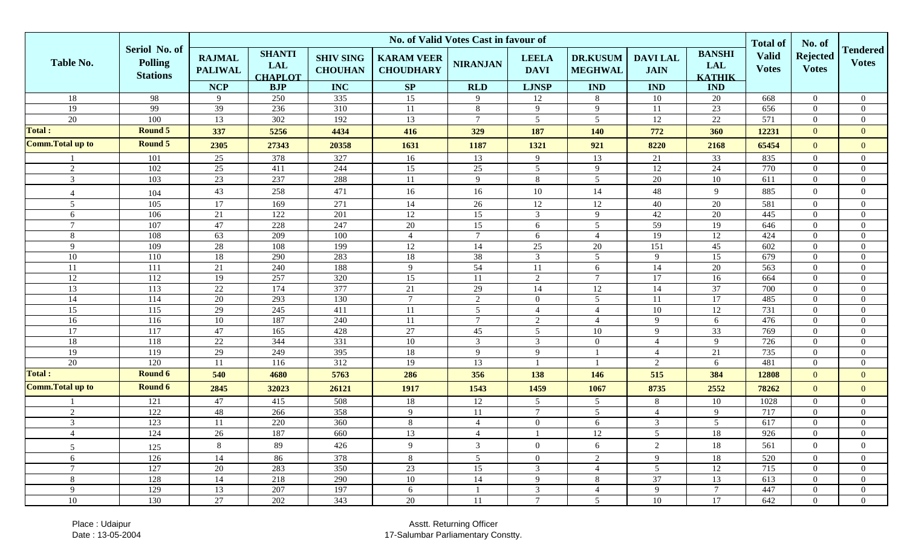|                                  |                                                    | No. of Valid Votes Cast in favour of          |                                                             |                                                  |                                                    |                               |                                             |                                                 |                                             |                                                            |                                                 |                                           |                                  |
|----------------------------------|----------------------------------------------------|-----------------------------------------------|-------------------------------------------------------------|--------------------------------------------------|----------------------------------------------------|-------------------------------|---------------------------------------------|-------------------------------------------------|---------------------------------------------|------------------------------------------------------------|-------------------------------------------------|-------------------------------------------|----------------------------------|
| <b>Table No.</b>                 | Seriol No. of<br><b>Polling</b><br><b>Stations</b> | <b>RAJMAL</b><br><b>PALIWAL</b><br><b>NCP</b> | <b>SHANTI</b><br><b>LAL</b><br><b>CHAPLOT</b><br><b>BJP</b> | <b>SHIV SING</b><br><b>CHOUHAN</b><br><b>INC</b> | <b>KARAM VEER</b><br><b>CHOUDHARY</b><br><b>SP</b> | <b>NIRANJAN</b><br><b>RLD</b> | <b>LEELA</b><br><b>DAVI</b><br><b>LJNSP</b> | <b>DR.KUSUM</b><br><b>MEGHWAL</b><br><b>IND</b> | <b>DAVILAL</b><br><b>JAIN</b><br><b>IND</b> | <b>BANSHI</b><br><b>LAL</b><br><b>KATHIK</b><br><b>IND</b> | <b>Total of</b><br><b>Valid</b><br><b>Votes</b> | No. of<br><b>Rejected</b><br><b>Votes</b> | <b>Tendered</b><br><b>Votes</b>  |
| 18                               | 98                                                 | $\mathbf{Q}$                                  | 250                                                         | 335                                              | 15                                                 | 9                             | 12                                          | $8\phantom{1}$                                  | 10                                          | 20                                                         | 668                                             | $\overline{0}$                            | $\overline{0}$                   |
| 19                               | 99                                                 | 39                                            | 236                                                         | 310                                              | 11                                                 | 8                             | 9                                           | 9                                               | 11                                          | 23                                                         | 656                                             | $\Omega$                                  | $\overline{0}$                   |
| 20                               | 100                                                | 13                                            | 302                                                         | 192                                              | 13                                                 | $\tau$                        | $\overline{5}$                              | $\sqrt{5}$                                      | 12                                          | $22\,$                                                     | 571                                             | $\Omega$                                  | $\overline{0}$                   |
| <b>Total:</b>                    | <b>Round 5</b>                                     | 337                                           | 5256                                                        | 4434                                             | 416                                                | 329                           | 187                                         | 140                                             | 772                                         | 360                                                        | 12231                                           | $\overline{0}$                            | $\mathbf{0}$                     |
| <b>Comm. Total up to</b>         | <b>Round 5</b>                                     | 2305                                          | 27343                                                       | 20358                                            | 1631                                               | 1187                          | 1321                                        | 921                                             | 8220                                        | 2168                                                       | 65454                                           | $\overline{0}$                            | $\theta$                         |
|                                  | 101                                                | 25                                            | 378                                                         | 327                                              | 16                                                 | 13                            | 9                                           | 13                                              | 21                                          | 33                                                         | 835                                             | $\overline{0}$                            | $\overline{0}$                   |
| 2                                | 102                                                | 25                                            | 411                                                         | 244                                              | 15                                                 | 25                            | $\overline{5}$                              | 9                                               | 12                                          | $24\,$                                                     | 770                                             | $\Omega$                                  | $\overline{0}$                   |
| 3                                | 103                                                | 23                                            | 237                                                         | 288                                              | 11                                                 | 9                             | 8                                           | 5                                               | 20                                          | 10                                                         | 611                                             | $\Omega$                                  | $\overline{0}$                   |
| $\overline{4}$                   | 104                                                | 43                                            | 258                                                         | 471                                              | 16                                                 | 16                            | $10\,$                                      | 14                                              | 48                                          | 9                                                          | 885                                             | $\overline{0}$                            | $\overline{0}$                   |
| $5\overline{)}$                  | 105                                                | 17                                            | 169                                                         | 271                                              | 14                                                 | 26                            | 12                                          | $12\,$                                          | 40                                          | 20                                                         | 581                                             | $\overline{0}$                            | $\overline{0}$                   |
| 6                                | 106                                                | 21                                            | 122                                                         | 201                                              | 12                                                 | 15                            | $\overline{3}$                              | 9                                               | 42                                          | 20                                                         | 445                                             | $\overline{0}$                            | $\overline{0}$                   |
| $\overline{7}$                   | 107                                                | 47                                            | 228                                                         | 247                                              | $20\,$                                             | 15                            | 6                                           | 5                                               | $\overline{59}$                             | 19                                                         | 646                                             | $\overline{0}$                            | $\overline{0}$                   |
| 8                                | 108                                                | 63                                            | 209                                                         | 100                                              | $\overline{4}$                                     | $\overline{7}$                | 6                                           | $\overline{4}$                                  | 19                                          | $12\,$                                                     | 424                                             | $\overline{0}$                            | $\overline{0}$                   |
| 9                                | 109                                                | 28                                            | 108                                                         | 199                                              | $12\,$                                             | 14                            | $25\,$                                      | 20                                              | 151                                         | $45\,$                                                     | 602                                             | $\Omega$                                  | $\overline{0}$                   |
| 10                               | $\overline{110}$                                   | 18                                            | 290                                                         | 283                                              | $18\,$                                             | 38                            | $\overline{3}$                              | $\overline{5}$                                  | 9                                           | $\overline{15}$                                            | 679                                             | $\overline{0}$                            | $\mathbf{0}$                     |
| 11                               | 111                                                | 21                                            | 240                                                         | 188                                              | 9                                                  | $\overline{54}$               | 11                                          | 6                                               | 14                                          | $\overline{20}$                                            | 563                                             | $\overline{0}$                            | $\overline{0}$                   |
| 12                               | 112                                                | 19                                            | 257                                                         | 320                                              | 15                                                 | 11                            | 2                                           | $7\phantom{.0}$                                 | 17                                          | 16                                                         | 664                                             | $\overline{0}$                            | $\overline{0}$                   |
| 13                               | 113                                                | 22                                            | 174                                                         | 377                                              | 21                                                 | 29                            | 14                                          | $12\,$                                          | 14                                          | $\overline{37}$                                            | 700                                             | $\overline{0}$                            | $\mathbf{0}$                     |
| 14                               | 114                                                | 20                                            | 293                                                         | 130                                              | $7\overline{ }$                                    | $\overline{2}$                | $\overline{0}$                              | 5                                               | 11                                          | 17                                                         | 485                                             | $\overline{0}$                            | $\overline{0}$                   |
| 15                               | 115                                                | 29                                            | 245                                                         | $\overline{411}$                                 | 11                                                 | $\mathfrak{S}$                | $\overline{4}$                              | $\overline{4}$                                  | 10                                          | 12                                                         | 731                                             | $\Omega$                                  | $\overline{0}$                   |
| 16                               | 116                                                | 10                                            | 187                                                         | 240                                              | 11                                                 | $\tau$                        | 2                                           | $\Delta$                                        | $\mathbf Q$                                 | 6                                                          | 476                                             | $\Omega$                                  | $\overline{0}$                   |
| $\overline{17}$                  | $\overline{117}$                                   | 47                                            | 165                                                         | 428                                              | $27\,$                                             | 45                            | $\overline{5}$                              | 10                                              | 9                                           | $\overline{33}$                                            | 769                                             | $\Omega$                                  | $\overline{0}$                   |
| 18                               | 118                                                | 22                                            | 344                                                         | 331                                              | 10                                                 | $\mathfrak{Z}$                | $\overline{3}$                              | $\overline{0}$                                  | 4                                           | 9                                                          | 726                                             | $\Omega$                                  | $\theta$                         |
| 19                               | 119                                                | 29                                            | 249                                                         | $\frac{395}{ }$                                  | 18                                                 | 9                             | 9                                           |                                                 | 4                                           | 21                                                         | 735                                             | $\Omega$                                  | $\overline{0}$                   |
| $\overline{20}$<br><b>Total:</b> | 120<br><b>Round 6</b>                              | 11                                            | 116                                                         | 312                                              | 19                                                 | 13                            |                                             |                                                 | $\overline{2}$                              | 6                                                          | 481                                             | $\Omega$                                  | $\overline{0}$                   |
| <b>Comm. Total up to</b>         | Round 6                                            | 540                                           | 4680                                                        | 5763                                             | 286                                                | 356                           | 138                                         | 146                                             | 515                                         | 384                                                        | 12808                                           | $\overline{0}$                            | $\mathbf{0}$                     |
|                                  | 121                                                | 2845<br>47                                    | 32023<br>415                                                | 26121<br>508                                     | 1917<br>18                                         | 1543<br>$\overline{12}$       | 1459<br>$\overline{5}$                      | 1067<br>5                                       | 8735<br>8                                   | 2552<br>$10\,$                                             | 78262<br>1028                                   | $\overline{0}$<br>$\overline{0}$          | $\overline{0}$<br>$\overline{0}$ |
| 2                                | 122                                                | 48                                            | 266                                                         | 358                                              | 9                                                  | 11                            | $7\phantom{.0}$                             | 5                                               | $\overline{4}$                              | 9                                                          | 717                                             | $\Omega$                                  | $\overline{0}$                   |
| 3                                | 123                                                | 11                                            | 220                                                         | 360                                              | 8                                                  | $\overline{4}$                | $\overline{0}$                              | 6                                               | 3                                           | $5\overline{)}$                                            | 617                                             | $\Omega$                                  | $\overline{0}$                   |
| $\overline{4}$                   | 124                                                | 26                                            | 187                                                         | 660                                              | $13\,$                                             | 4                             |                                             | $12\,$                                          | 5                                           | 18                                                         | 926                                             | $\boldsymbol{0}$                          | $\boldsymbol{0}$                 |
| 5                                | 125                                                | 8                                             | 89                                                          | 426                                              | 9                                                  | $\mathfrak{Z}$                | $\mathbf{I}$<br>$\overline{0}$              | 6                                               | $\overline{2}$                              | 18                                                         | 561                                             | $\Omega$                                  | $\Omega$                         |
| 6                                | 126                                                | 14                                            | 86                                                          | 378                                              | 8                                                  | 5 <sup>5</sup>                | $\overline{0}$                              | 2                                               | 9                                           | 18                                                         | 520                                             | $\overline{0}$                            | $\overline{0}$                   |
| $7\overline{ }$                  | 127                                                | 20                                            | 283                                                         | 350                                              | 23                                                 | 15                            | $\mathbf{3}$                                | $\overline{4}$                                  | 5 <sup>5</sup>                              | 12                                                         | 715                                             | $\overline{0}$                            | $\overline{0}$                   |
| 8                                | 128                                                | 14                                            | 218                                                         | 290                                              | 10                                                 | 14                            | 9                                           | 8                                               | 37                                          | 13                                                         | 613                                             | $\bf{0}$                                  | $\overline{0}$                   |
| 9                                | 129                                                | 13                                            | 207                                                         | 197                                              | 6                                                  |                               | $\overline{3}$                              | $\overline{4}$                                  | 9                                           | $7\phantom{.0}$                                            | 447                                             | $\overline{0}$                            | $\boldsymbol{0}$                 |
| 10                               | 130                                                | 27                                            | 202                                                         | 343                                              | 20                                                 | 11                            | $7\phantom{.0}$                             | 5 <sup>5</sup>                                  | 10                                          | 17                                                         | 642                                             | $\overline{0}$                            | $\overline{0}$                   |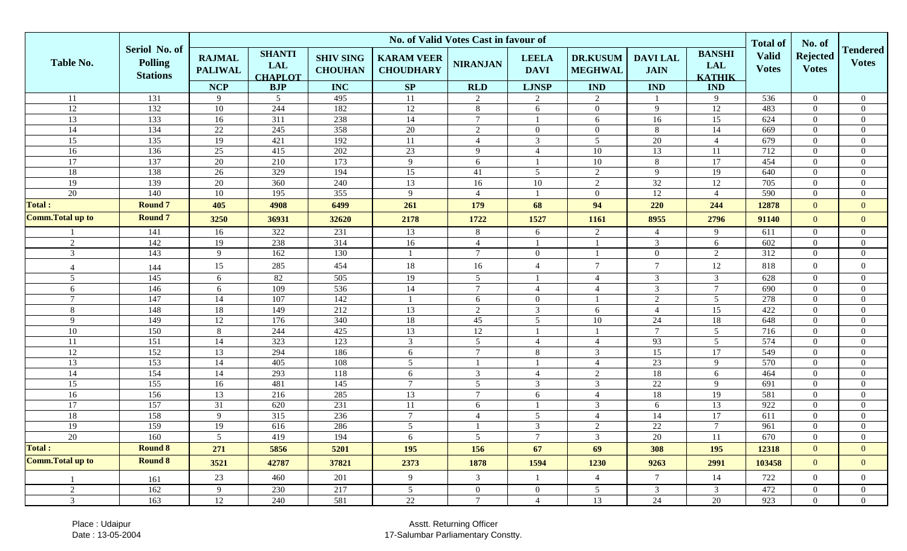|                          |                                                    | No. of Valid Votes Cast in favour of          |                                                             |                                                  |                                             |                               |                                             |                                                 |                                             |                                                            |                                                 |                                 |                                 |
|--------------------------|----------------------------------------------------|-----------------------------------------------|-------------------------------------------------------------|--------------------------------------------------|---------------------------------------------|-------------------------------|---------------------------------------------|-------------------------------------------------|---------------------------------------------|------------------------------------------------------------|-------------------------------------------------|---------------------------------|---------------------------------|
| Table No.                | Seriol No. of<br><b>Polling</b><br><b>Stations</b> | <b>RAJMAL</b><br><b>PALIWAL</b><br><b>NCP</b> | <b>SHANTI</b><br><b>LAL</b><br><b>CHAPLOT</b><br><b>BJP</b> | <b>SHIV SING</b><br><b>CHOUHAN</b><br><b>INC</b> | <b>KARAM VEER</b><br><b>CHOUDHARY</b><br>SP | <b>NIRANJAN</b><br><b>RLD</b> | <b>LEELA</b><br><b>DAVI</b><br><b>LJNSP</b> | <b>DR.KUSUM</b><br><b>MEGHWAL</b><br><b>IND</b> | <b>DAVILAL</b><br><b>JAIN</b><br><b>IND</b> | <b>BANSHI</b><br><b>LAL</b><br><b>KATHIK</b><br><b>IND</b> | <b>Total of</b><br><b>Valid</b><br><b>Votes</b> | <b>Rejected</b><br><b>Votes</b> | <b>Tendered</b><br><b>Votes</b> |
| 11                       | 131                                                | 9                                             | 5 <sup>5</sup>                                              | 495                                              | 11                                          | $\overline{2}$                | 2                                           | $\overline{2}$                                  |                                             | 9                                                          | 536                                             | $\overline{0}$                  | $\overline{0}$                  |
| 12                       | 132                                                | $10\,$                                        | 244                                                         | 182                                              | $12\,$                                      | 8                             |                                             | $\boldsymbol{0}$                                | 9                                           | $12\,$                                                     | 483                                             | $\Omega$                        | $\overline{0}$                  |
| $\overline{13}$          | 133                                                | 16                                            | $\overline{311}$                                            | 238                                              | 14                                          | $\tau$                        | 6                                           | 6                                               | 16                                          | $\overline{15}$                                            | 624                                             | $\overline{0}$                  | $\boldsymbol{0}$                |
| $14\,$                   | 134                                                | 22                                            | 245                                                         | 358                                              | $20\,$                                      | $\overline{2}$                | $\overline{0}$                              | $\boldsymbol{0}$                                | 8                                           | 14                                                         | 669                                             | $\overline{0}$                  | $\boldsymbol{0}$                |
| $\overline{15}$          | 135                                                | 19                                            | 421                                                         | 192                                              | 11                                          | $\overline{4}$                | $\overline{3}$                              | 5                                               | 20                                          | $\overline{4}$                                             | 679                                             | $\boldsymbol{0}$                | $\boldsymbol{0}$                |
| 16                       | 136                                                | $\overline{25}$                               | 415                                                         | 202                                              | 23                                          | 9                             | $\overline{4}$                              | $10\,$                                          | 13                                          | 11                                                         | 712                                             | $\overline{0}$                  | $\boldsymbol{0}$                |
| 17                       | 137                                                | 20                                            | 210                                                         | 173                                              | 9                                           | 6                             |                                             | 10                                              | 8                                           | 17                                                         | 454                                             | $\overline{0}$                  | $\overline{0}$                  |
| 18                       | 138                                                | 26                                            | 329                                                         | 194                                              | 15                                          | 41                            | 5                                           | $\sqrt{2}$                                      | 9                                           | 19                                                         | 640                                             | $\overline{0}$                  | $\overline{0}$                  |
| 19                       | 139                                                | 20                                            | 360                                                         | 240                                              | 13                                          | 16                            | 10                                          | $\overline{2}$                                  | $\overline{32}$                             | 12                                                         | 705                                             | $\overline{0}$                  | $\boldsymbol{0}$                |
| 20                       | 140                                                | $10\,$                                        | 195                                                         | 355                                              | 9                                           | $\overline{4}$                |                                             | $\boldsymbol{0}$                                | 12                                          | $\overline{4}$                                             | 590                                             | $\overline{0}$                  | $\mathbf{0}$                    |
| <b>Total:</b>            | <b>Round 7</b>                                     | 405                                           | 4908                                                        | 6499                                             | 261                                         | 179                           | 68                                          | 94                                              | 220                                         | 244                                                        | 12878                                           | $\overline{0}$                  | $\overline{0}$                  |
| <b>Comm. Total up to</b> | <b>Round 7</b>                                     | 3250                                          | 36931                                                       | 32620                                            | 2178                                        | 1722                          | 1527                                        | 1161                                            | 8955                                        | 2796                                                       | 91140                                           | $\mathbf{0}$                    | $\mathbf{0}$                    |
|                          | 141                                                | 16                                            | 322                                                         | 231                                              | 13                                          | 8                             | 6                                           | 2                                               | 4                                           | 9                                                          | 611                                             | $\overline{0}$                  | $\overline{0}$                  |
| 2                        | 142                                                | 19                                            | 238                                                         | 314                                              | 16                                          | $\overline{4}$                |                                             |                                                 | 3                                           | 6                                                          | 602                                             | $\overline{0}$                  | $\overline{0}$                  |
| $\mathfrak{Z}$           | 143                                                | 9                                             | 162                                                         | 130                                              |                                             | $\tau$                        | $\overline{0}$                              |                                                 | $\overline{0}$                              | $\overline{2}$                                             | $\overline{312}$                                | $\overline{0}$                  | $\overline{0}$                  |
| $\overline{4}$           | 144                                                | 15                                            | 285                                                         | 454                                              | 18                                          | 16                            | $\overline{4}$                              | $\overline{7}$                                  | $\tau$                                      | 12                                                         | 818                                             | $\boldsymbol{0}$                | $\overline{0}$                  |
| 5                        | 145                                                | 6                                             | 82                                                          | 505                                              | 19                                          | 5                             |                                             | $\overline{4}$                                  | $\mathfrak{Z}$                              | $\overline{3}$                                             | 628                                             | $\overline{0}$                  | $\overline{0}$                  |
| 6                        | 146                                                | 6                                             | 109                                                         | 536                                              | 14                                          | $7\overline{ }$               | $\overline{4}$                              | $\overline{4}$                                  | $\mathfrak{Z}$                              | $\tau$                                                     | 690                                             | $\overline{0}$                  | $\mathbf{0}$                    |
| $\overline{7}$           | 147                                                | 14                                            | 107                                                         | 142                                              |                                             | 6                             | $\overline{0}$                              |                                                 | 2                                           | $5\overline{)}$                                            | 278                                             | $\overline{0}$                  | $\overline{0}$                  |
| 8                        | 148                                                | 18                                            | 149                                                         | 212                                              | 13                                          | $\overline{2}$                | $\overline{3}$                              | 6                                               | $\overline{4}$                              | 15                                                         | 422                                             | $\overline{0}$                  | $\mathbf{0}$                    |
| 9                        | 149                                                | 12                                            | 176                                                         | 340                                              | 18                                          | 45                            | $5\overline{)}$                             | $10\,$                                          | 24                                          | 18                                                         | 648                                             | $\overline{0}$                  | $\overline{0}$                  |
| 10                       | 150                                                | 8                                             | 244                                                         | 425                                              | 13                                          | 12                            |                                             |                                                 | $\tau$                                      | $5\overline{)}$                                            | 716                                             | $\overline{0}$                  | $\overline{0}$                  |
| 11                       | 151                                                | 14                                            | 323                                                         | 123                                              | $\overline{3}$                              | $5\overline{)}$               | $\overline{4}$                              | $\overline{4}$                                  | 93                                          | $5\overline{)}$                                            | 574                                             | $\Omega$                        | $\mathbf{0}$                    |
| 12                       | $\overline{152}$                                   | 13                                            | 294                                                         | 186                                              | 6                                           | $\tau$                        | 8                                           | $\mathfrak{Z}$                                  | 15                                          | 17                                                         | 549                                             | $\Omega$                        | $\overline{0}$                  |
| 13                       | 153                                                | 14                                            | 405                                                         | 108                                              | $\overline{5}$                              |                               |                                             | $\overline{4}$                                  | 23                                          | 9                                                          | 570                                             | $\overline{0}$                  | $\overline{0}$                  |
| $14\phantom{.}$          | 154                                                | 14                                            | 293                                                         | 118                                              | 6                                           | $\mathfrak{Z}$                | $\overline{4}$                              | $\sqrt{2}$                                      | 18                                          | 6                                                          | 464                                             | $\mathbf{0}$                    | $\mathbf{0}$                    |
| 15                       | 155                                                | 16                                            | 481                                                         | 145                                              | $\overline{7}$                              | 5                             | 3                                           | $\overline{3}$                                  | 22                                          | 9                                                          | 691                                             | $\overline{0}$                  | $\boldsymbol{0}$                |
| 16                       | 156                                                | 13                                            | 216                                                         | 285                                              | 13                                          | $7\phantom{.0}$               | 6                                           | $\overline{4}$                                  | 18                                          | 19                                                         | 581                                             | $\overline{0}$                  | $\overline{0}$                  |
| 17                       | 157                                                | 31                                            | 620                                                         | 231                                              | 11                                          | 6                             |                                             | $\mathfrak{Z}$                                  | 6                                           | 13                                                         | 922                                             | $\overline{0}$                  | $\boldsymbol{0}$                |
| $18\,$                   | 158                                                | 9                                             | 315                                                         | 236                                              | $7\phantom{.0}$                             | $\overline{4}$                | 5                                           | $\overline{4}$                                  | 14                                          | 17                                                         | 611                                             | $\overline{0}$                  | $\boldsymbol{0}$                |
| 19                       | 159                                                | 19                                            | 616                                                         | 286                                              | $\overline{5}$                              |                               | $\overline{3}$                              | $\overline{2}$                                  | 22                                          | $\tau$                                                     | 961                                             | $\Omega$                        | $\mathbf{0}$                    |
| 20                       | 160                                                | 5                                             | 419                                                         | 194                                              | 6                                           | 5                             |                                             | 3                                               | 20                                          | 11                                                         | 670                                             | $\bf{0}$                        | $\theta$                        |
| <b>Total:</b>            | <b>Round 8</b>                                     | 271                                           | 5856                                                        | 5201                                             | 195                                         | 156                           | 67                                          | 69                                              | 308                                         | 195                                                        | 12318                                           | $\theta$                        | $\overline{0}$                  |
| <b>Comm. Total up to</b> | <b>Round 8</b>                                     | 3521                                          | 42787                                                       | 37821                                            | 2373                                        | 1878                          | 1594                                        | 1230                                            | 9263                                        | 2991                                                       | 103458                                          | $\mathbf{0}$                    | $\mathbf{0}$                    |
|                          | 161                                                | 23                                            | 460                                                         | 201                                              | 9                                           | $\mathfrak{Z}$                | $\mathbf{1}$                                | $\overline{4}$                                  | $7\overline{ }$                             | 14                                                         | 722                                             | $\overline{0}$                  | $\overline{0}$                  |
| $\overline{2}$           | 162                                                | 9                                             | 230                                                         | 217                                              | $5\overline{)}$                             | $\overline{0}$                | $\mathbf{0}$                                | 5                                               | $\mathfrak{Z}$                              | $\mathfrak{Z}$                                             | 472                                             | $\overline{0}$                  | $\overline{0}$                  |
| $\overline{3}$           | 163                                                | 12                                            | 240                                                         | 581                                              | 22                                          | $\tau$                        | $\overline{4}$                              | 13                                              | $\overline{24}$                             | 20                                                         | 923                                             | $\overline{0}$                  | $\bf{0}$                        |